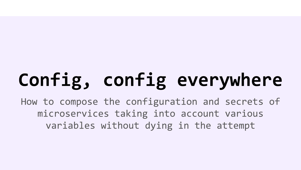# Config, config everywhere

How to compose the configuration and secrets of microservices taking into account various variables without dying in the attempt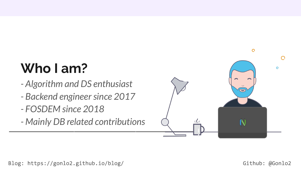# **Who I am?**

- *Algorithm and DS enthusiast*
- *Backend engineer since 2017*
- *FOSDEM since 2018*
- *Mainly DB related contributions*  $\blacksquare$

Github: @Gonlo2

 $\mathbf{O}$ 

 $\blacksquare$ 

N

 $\overline{O}$ 

Ō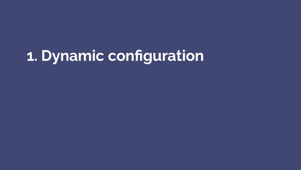# **1. Dynamic configuration**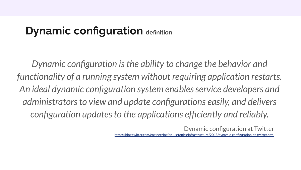#### **Dynamic configuration definition**

*Dynamic configuration is the ability to change the behavior and functionality of a running system without requiring application restarts. An ideal dynamic configuration system enables service developers and administrators to view and update configurations easily, and delivers configuration updates to the applications efficiently and reliably.* 

Dynamic configuration at Twitter

[https://blog.twitter.com/engineering/en\\_us/topics/infrastructure/2018/dynamic-configuration-at-twitter.html](https://blog.twitter.com/engineering/en_us/topics/infrastructure/2018/dynamic-configuration-at-twitter.html)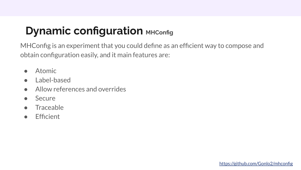### **Dynamic configuration MHConfig**

MHConfig is an experiment that you could define as an efficient way to compose and obtain configuration easily, and it main features are:

- **Atomic**
- Label-based
- Allow references and overrides
- **Secure**
- **Traceable**
- Efficient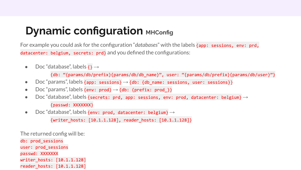#### **Dynamic configuration MHConfig**

For example you could ask for the configuration "*databases*" with the labels  $distance$ r belgium, secrets:  $pred$  and you defined the configurations:

• Doc "database", labels  $\{\} \rightarrow$ 

{db: "{params/db/prefix}{params/db/db\_name}", user: "{params/db/prefix}{params/db/user}"}

- Doc "params", labels {app: sessions}  $\rightarrow$  {db: {db name: sessions, user: sessions}}
- Doc "params", labels {env: prod}  $\rightarrow$  {db: {prefix: prod }}
- Doc "database", labels {secrets: prd, app: sessions, env: prod, datacenter: belgium}  $\rightarrow$ {passwd: XXXXXXX}
- Doc "database", labels {env: prod, datacenter: belgium}  $\rightarrow$

{writer hosts: [10.1.1.128], reader hosts: [10.1.1.128]}

The returned config will be:

db: prod sessions user: prod sessions passwd: XXXXXXX writer hosts: [10.1.1.128] reader hosts: [10.1.1.128]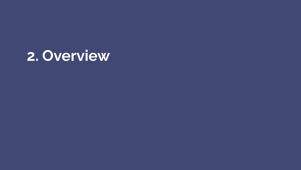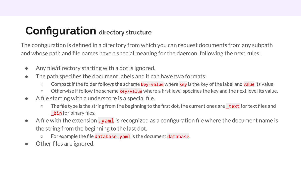### **Configuration directory structure**

The configuration is defined in a directory from which you can request documents from any subpath and whose path and file names have a special meaning for the daemon, following the next rules:

- Any file/directory starting with a dot is ignored.
- The path specifies the document labels and it can have two formats:
	- o Compact if the folder follows the scheme key=value where key is the key of the label and value its value.
	- $\circ$  Otherwise if follow the scheme key/value where a first level specifies the key and the next level its value.
- A file starting with a underscore is a special file.
	- The file type is the string from the beginning to the first dot, the current ones are **text** for text files and bin for binary files.
- $\bullet$  A file with the extension **. yam1** is recognized as a configuration file where the document name is the string from the beginning to the last dot.
	- $\circ$  For example the file database. yaml is the document database.
- Other files are ignored.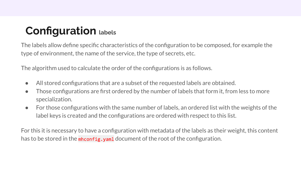### **Configuration labels**

The labels allow define specific characteristics of the configuration to be composed, for example the type of environment, the name of the service, the type of secrets, etc.

The algorithm used to calculate the order of the configurations is as follows.

- All stored configurations that are a subset of the requested labels are obtained.
- Those configurations are first ordered by the number of labels that form it, from less to more specialization.
- For those configurations with the same number of labels, an ordered list with the weights of the label keys is created and the configurations are ordered with respect to this list.

For this it is necessary to have a configuration with metadata of the labels as their weight, this content has to be stored in the  $m$  h config.  $y$  and document of the root of the configuration.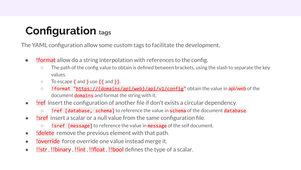### **Configuration tags**

The YAML configuration allow some custom tags to facilitate the development.

- **!format** allow do a string interpolation with references to the config.
	- The path of the config value to obtain is defined between brackets, using the slash to separate the key values.
	- $\circ$  To escape  $\{$  and  $\}$  use  $\{\}$  and  $\}$ .
	- Iformat "https://{domains/api/web}/api/v1/config" obtain the value in api/web of the document **domains** and format the string with it.
- lref insert the configuration of another file if don't exists a circular dependency.
	- lref [database, schema] to reference the value in schema of the document database.
- Isref insert a scalar or a null value from the same configuration file.
	- **! sref** [message] to reference the value in message of the self document.
- !delete remove the previous element with that path.
- **!override** force override one value instead merge it.
- !!str , !!binary , !!int , !!float , !!bool defines the type of a scalar.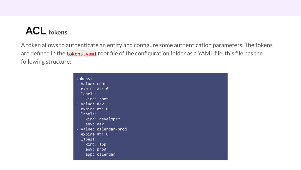#### **ACL tokens**

A token allows to authenticate an entity and configure some authentication parameters. The tokens are defined in the tokens. yaml root file of the configuration folder as a YAML file, this file has the following structure:

| tokens:                |
|------------------------|
| - value: r <u>oot</u>  |
| $expire_at: 0$         |
| labels:                |
| kind: root             |
| - value: dev           |
| expire $at: 0$         |
| labels:                |
| kind: developer        |
| env: dev               |
| - value: calendar-prod |
| expire $at: 0$         |
| labels:                |
| $kind:$ app            |
| env: prod              |
| app: calendar          |
|                        |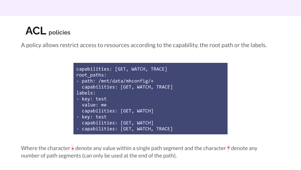#### **ACL policies**

A policy allows restrict access to resources according to the capability, the root path or the labels.

```
capabilities: [GET, WATCH, TRACE]
root paths:
- path: /mnt/data/mhconfig/+
 capabilities: [GET, WATCH, TRACE]
labels:
- key: test
 value: me
 capabilities: [GET, WATCH]
- key: test
  capabilities: [GET, WATCH]
- capabilities: [GET, WATCH, TRACE]
```
Where the character  $\pm$  denote any value within a single path segment and the character  $\ast$  denote any number of path segments (can only be used at the end of the path).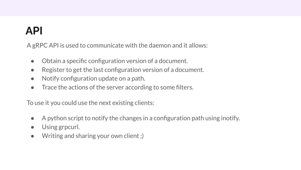## **API**

A gRPC API is used to communicate with the daemon and it allows:

- Obtain a specific configuration version of a document.
- Register to get the last configuration version of a document.
- Notify configuration update on a path.
- Trace the actions of the server according to some filters.

To use it you could use the next existing clients:

- A python script to notify the changes in a configuration path using inotify.
- Using grpcurl.
- Writing and sharing your own client ;)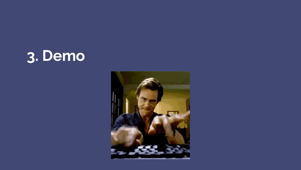# **3. Demo**

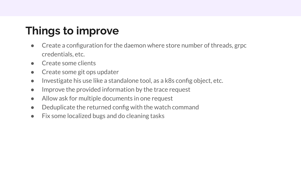## **Things to improve**

- Create a configuration for the daemon where store number of threads, grpc credentials, etc.
- Create some clients
- Create some git ops updater
- Investigate his use like a standalone tool, as a k8s config object, etc.
- Improve the provided information by the trace request
- Allow ask for multiple documents in one request
- Deduplicate the returned config with the watch command
- Fix some localized bugs and do cleaning tasks